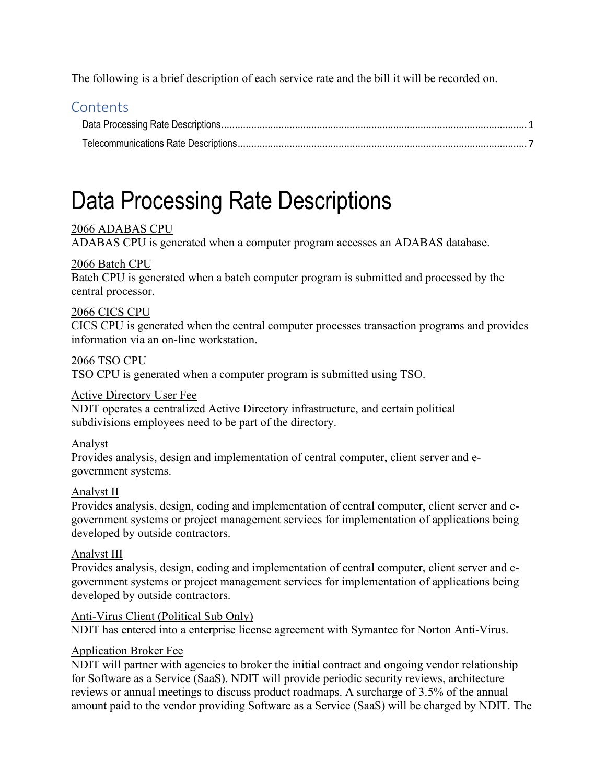The following is a brief description of each service rate and the bill it will be recorded on.

# **Contents**

# Data Processing Rate Descriptions

# 2066 ADABAS CPU

ADABAS CPU is generated when a computer program accesses an ADABAS database.

# 2066 Batch CPU

Batch CPU is generated when a batch computer program is submitted and processed by the central processor.

# 2066 CICS CPU

CICS CPU is generated when the central computer processes transaction programs and provides information via an on-line workstation.

# 2066 TSO CPU

TSO CPU is generated when a computer program is submitted using TSO.

# Active Directory User Fee

NDIT operates a centralized Active Directory infrastructure, and certain political subdivisions employees need to be part of the directory.

# Analyst

Provides analysis, design and implementation of central computer, client server and egovernment systems.

# Analyst II

Provides analysis, design, coding and implementation of central computer, client server and egovernment systems or project management services for implementation of applications being developed by outside contractors.

# Analyst III

Provides analysis, design, coding and implementation of central computer, client server and egovernment systems or project management services for implementation of applications being developed by outside contractors.

# Anti-Virus Client (Political Sub Only)

NDIT has entered into a enterprise license agreement with Symantec for Norton Anti-Virus.

# Application Broker Fee

NDIT will partner with agencies to broker the initial contract and ongoing vendor relationship for Software as a Service (SaaS). NDIT will provide periodic security reviews, architecture reviews or annual meetings to discuss product roadmaps. A surcharge of 3.5% of the annual amount paid to the vendor providing Software as a Service (SaaS) will be charged by NDIT. The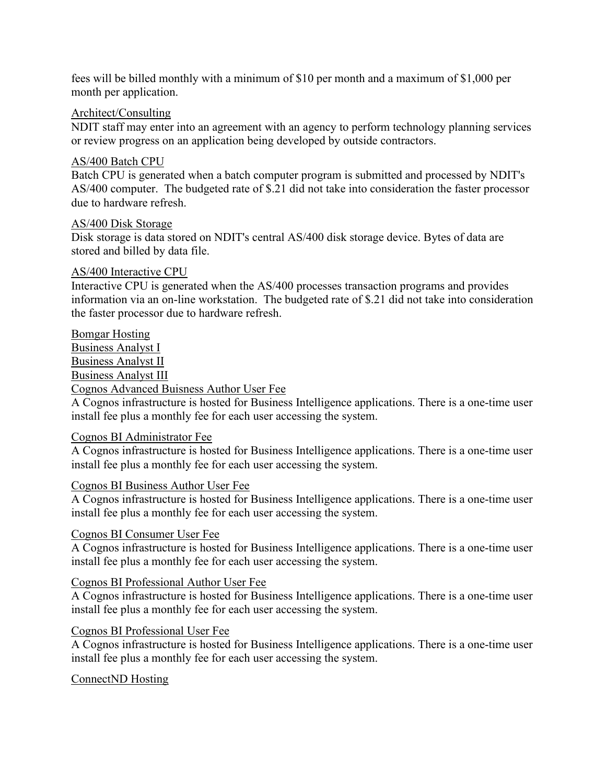fees will be billed monthly with a minimum of \$10 per month and a maximum of \$1,000 per month per application.

#### Architect/Consulting

NDIT staff may enter into an agreement with an agency to perform technology planning services or review progress on an application being developed by outside contractors.

#### AS/400 Batch CPU

Batch CPU is generated when a batch computer program is submitted and processed by NDIT's AS/400 computer. The budgeted rate of \$.21 did not take into consideration the faster processor due to hardware refresh.

#### AS/400 Disk Storage

Disk storage is data stored on NDIT's central AS/400 disk storage device. Bytes of data are stored and billed by data file.

#### AS/400 Interactive CPU

Interactive CPU is generated when the AS/400 processes transaction programs and provides information via an on-line workstation. The budgeted rate of \$.21 did not take into consideration the faster processor due to hardware refresh.

#### Bomgar Hosting

Business Analyst I Business Analyst II Business Analyst III Cognos Advanced Buisness Author User Fee

A Cognos infrastructure is hosted for Business Intelligence applications. There is a one-time user install fee plus a monthly fee for each user accessing the system.

#### Cognos BI Administrator Fee

A Cognos infrastructure is hosted for Business Intelligence applications. There is a one-time user install fee plus a monthly fee for each user accessing the system.

# Cognos BI Business Author User Fee

A Cognos infrastructure is hosted for Business Intelligence applications. There is a one-time user install fee plus a monthly fee for each user accessing the system.

# Cognos BI Consumer User Fee

A Cognos infrastructure is hosted for Business Intelligence applications. There is a one-time user install fee plus a monthly fee for each user accessing the system.

# Cognos BI Professional Author User Fee

A Cognos infrastructure is hosted for Business Intelligence applications. There is a one-time user install fee plus a monthly fee for each user accessing the system.

#### Cognos BI Professional User Fee

A Cognos infrastructure is hosted for Business Intelligence applications. There is a one-time user install fee plus a monthly fee for each user accessing the system.

#### ConnectND Hosting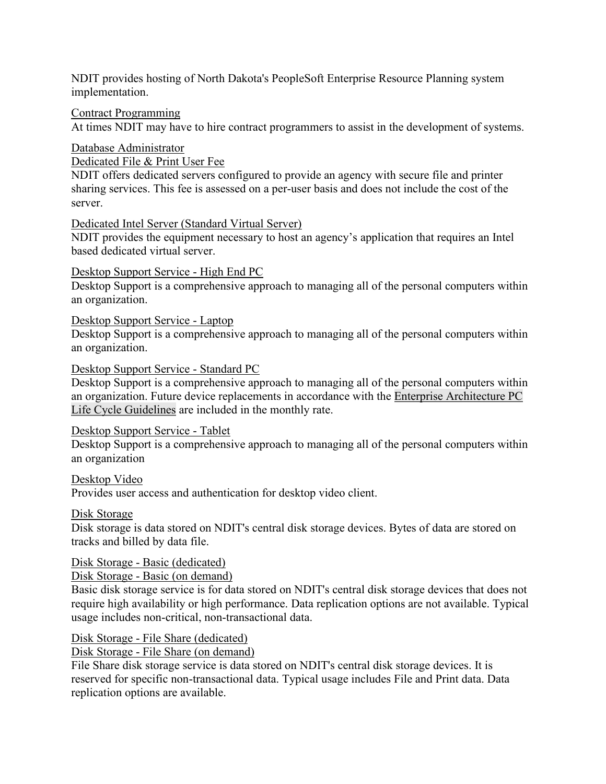NDIT provides hosting of North Dakota's PeopleSoft Enterprise Resource Planning system implementation.

Contract Programming

At times NDIT may have to hire contract programmers to assist in the development of systems.

Database Administrator

Dedicated File & Print User Fee

NDIT offers dedicated servers configured to provide an agency with secure file and printer sharing services. This fee is assessed on a per-user basis and does not include the cost of the server.

#### Dedicated Intel Server (Standard Virtual Server)

NDIT provides the equipment necessary to host an agency's application that requires an Intel based dedicated virtual server.

#### Desktop Support Service - High End PC

Desktop Support is a comprehensive approach to managing all of the personal computers within an organization.

#### Desktop Support Service - Laptop

Desktop Support is a comprehensive approach to managing all of the personal computers within an organization.

#### Desktop Support Service - Standard PC

Desktop Support is a comprehensive approach to managing all of the personal computers within an organization. Future device replacements in accordance with the Enterprise Architecture PC Life Cycle Guidelines are included in the monthly rate.

#### Desktop Support Service - Tablet

Desktop Support is a comprehensive approach to managing all of the personal computers within an organization

#### Desktop Video

Provides user access and authentication for desktop video client.

#### Disk Storage

Disk storage is data stored on NDIT's central disk storage devices. Bytes of data are stored on tracks and billed by data file.

#### Disk Storage - Basic (dedicated)

Disk Storage - Basic (on demand)

Basic disk storage service is for data stored on NDIT's central disk storage devices that does not require high availability or high performance. Data replication options are not available. Typical usage includes non-critical, non-transactional data.

#### Disk Storage - File Share (dedicated)

Disk Storage - File Share (on demand)

File Share disk storage service is data stored on NDIT's central disk storage devices. It is reserved for specific non-transactional data. Typical usage includes File and Print data. Data replication options are available.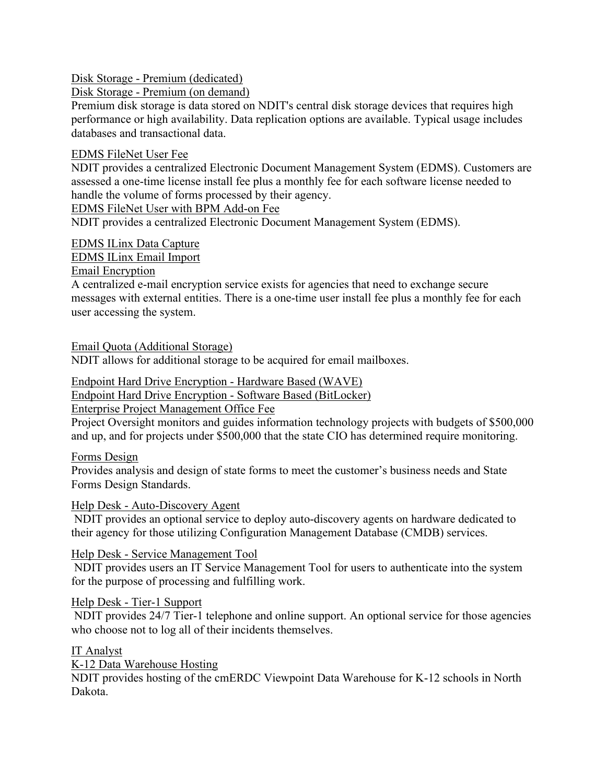Disk Storage - Premium (dedicated)

Disk Storage - Premium (on demand)

Premium disk storage is data stored on NDIT's central disk storage devices that requires high performance or high availability. Data replication options are available. Typical usage includes databases and transactional data.

# EDMS FileNet User Fee

NDIT provides a centralized Electronic Document Management System (EDMS). Customers are assessed a one-time license install fee plus a monthly fee for each software license needed to handle the volume of forms processed by their agency.

EDMS FileNet User with BPM Add-on Fee

NDIT provides a centralized Electronic Document Management System (EDMS).

# EDMS ILinx Data Capture

EDMS ILinx Email Import

Email Encryption

A centralized e-mail encryption service exists for agencies that need to exchange secure messages with external entities. There is a one-time user install fee plus a monthly fee for each user accessing the system.

Email Quota (Additional Storage)

NDIT allows for additional storage to be acquired for email mailboxes.

Endpoint Hard Drive Encryption - Hardware Based (WAVE)

Endpoint Hard Drive Encryption - Software Based (BitLocker)

Enterprise Project Management Office Fee

Project Oversight monitors and guides information technology projects with budgets of \$500,000 and up, and for projects under \$500,000 that the state CIO has determined require monitoring.

Forms Design

Provides analysis and design of state forms to meet the customer's business needs and State Forms Design Standards.

# Help Desk - Auto-Discovery Agent

NDIT provides an optional service to deploy auto-discovery agents on hardware dedicated to their agency for those utilizing Configuration Management Database (CMDB) services.

Help Desk - Service Management Tool

NDIT provides users an IT Service Management Tool for users to authenticate into the system for the purpose of processing and fulfilling work.

#### Help Desk - Tier-1 Support

NDIT provides 24/7 Tier-1 telephone and online support. An optional service for those agencies who choose not to log all of their incidents themselves.

# IT Analyst

K-12 Data Warehouse Hosting

NDIT provides hosting of the cmERDC Viewpoint Data Warehouse for K-12 schools in North Dakota.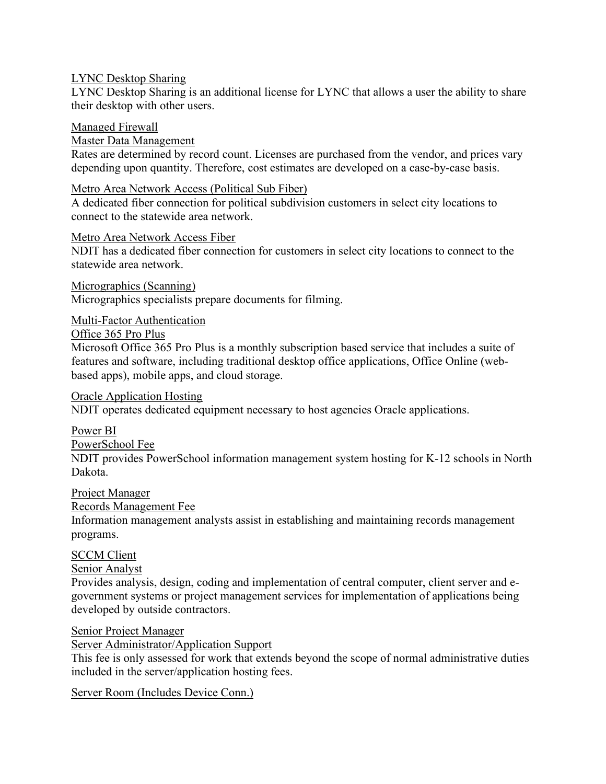#### LYNC Desktop Sharing

LYNC Desktop Sharing is an additional license for LYNC that allows a user the ability to share their desktop with other users.

#### Managed Firewall

#### Master Data Management

Rates are determined by record count. Licenses are purchased from the vendor, and prices vary depending upon quantity. Therefore, cost estimates are developed on a case-by-case basis.

#### Metro Area Network Access (Political Sub Fiber)

A dedicated fiber connection for political subdivision customers in select city locations to connect to the statewide area network.

#### Metro Area Network Access Fiber

NDIT has a dedicated fiber connection for customers in select city locations to connect to the statewide area network.

Micrographics (Scanning) Micrographics specialists prepare documents for filming.

#### Multi-Factor Authentication

#### Office 365 Pro Plus

Microsoft Office 365 Pro Plus is a monthly subscription based service that includes a suite of features and software, including traditional desktop office applications, Office Online (webbased apps), mobile apps, and cloud storage.

#### Oracle Application Hosting

NDIT operates dedicated equipment necessary to host agencies Oracle applications.

#### Power BI

PowerSchool Fee

NDIT provides PowerSchool information management system hosting for K-12 schools in North Dakota.

#### Project Manager

#### Records Management Fee

Information management analysts assist in establishing and maintaining records management programs.

# SCCM Client

# Senior Analyst

Provides analysis, design, coding and implementation of central computer, client server and egovernment systems or project management services for implementation of applications being developed by outside contractors.

#### Senior Project Manager

Server Administrator/Application Support

This fee is only assessed for work that extends beyond the scope of normal administrative duties included in the server/application hosting fees.

#### Server Room (Includes Device Conn.)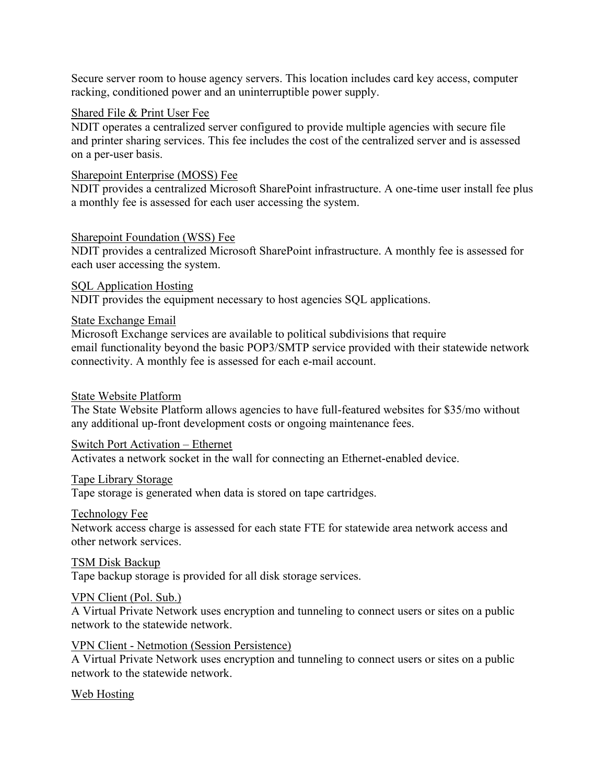Secure server room to house agency servers. This location includes card key access, computer racking, conditioned power and an uninterruptible power supply.

#### Shared File & Print User Fee

NDIT operates a centralized server configured to provide multiple agencies with secure file and printer sharing services. This fee includes the cost of the centralized server and is assessed on a per-user basis.

#### Sharepoint Enterprise (MOSS) Fee

NDIT provides a centralized Microsoft SharePoint infrastructure. A one-time user install fee plus a monthly fee is assessed for each user accessing the system.

#### Sharepoint Foundation (WSS) Fee

NDIT provides a centralized Microsoft SharePoint infrastructure. A monthly fee is assessed for each user accessing the system.

SQL Application Hosting NDIT provides the equipment necessary to host agencies SQL applications.

#### State Exchange Email

Microsoft Exchange services are available to political subdivisions that require email functionality beyond the basic POP3/SMTP service provided with their statewide network connectivity. A monthly fee is assessed for each e-mail account.

#### State Website Platform

The State Website Platform allows agencies to have full-featured websites for \$35/mo without any additional up-front development costs or ongoing maintenance fees.

#### Switch Port Activation – Ethernet

Activates a network socket in the wall for connecting an Ethernet-enabled device.

#### Tape Library Storage

Tape storage is generated when data is stored on tape cartridges.

#### Technology Fee

Network access charge is assessed for each state FTE for statewide area network access and other network services.

#### TSM Disk Backup

Tape backup storage is provided for all disk storage services.

#### VPN Client (Pol. Sub.)

A Virtual Private Network uses encryption and tunneling to connect users or sites on a public network to the statewide network.

#### VPN Client - Netmotion (Session Persistence)

A Virtual Private Network uses encryption and tunneling to connect users or sites on a public network to the statewide network.

# Web Hosting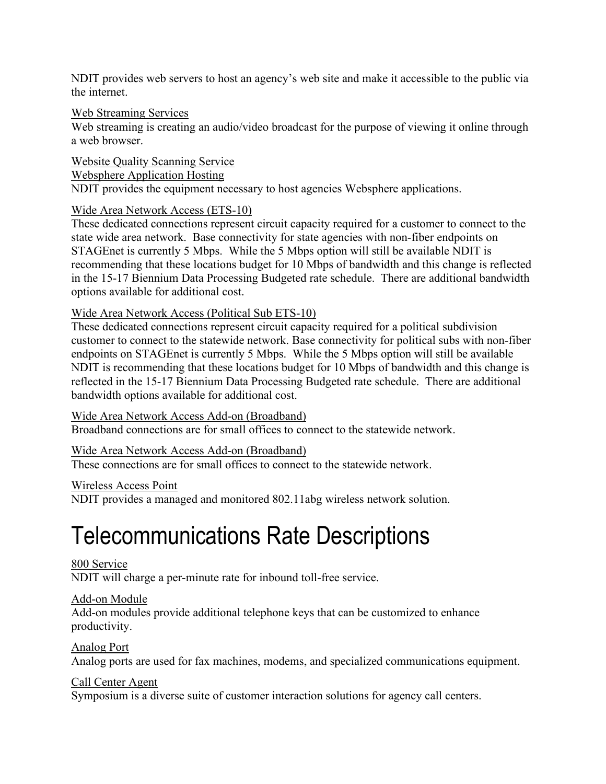NDIT provides web servers to host an agency's web site and make it accessible to the public via the internet.

#### Web Streaming Services

Web streaming is creating an audio/video broadcast for the purpose of viewing it online through a web browser.

Website Quality Scanning Service Websphere Application Hosting NDIT provides the equipment necessary to host agencies Websphere applications.

# Wide Area Network Access (ETS-10)

These dedicated connections represent circuit capacity required for a customer to connect to the state wide area network. Base connectivity for state agencies with non-fiber endpoints on STAGEnet is currently 5 Mbps. While the 5 Mbps option will still be available NDIT is recommending that these locations budget for 10 Mbps of bandwidth and this change is reflected in the 15-17 Biennium Data Processing Budgeted rate schedule. There are additional bandwidth options available for additional cost.

#### Wide Area Network Access (Political Sub ETS-10)

These dedicated connections represent circuit capacity required for a political subdivision customer to connect to the statewide network. Base connectivity for political subs with non-fiber endpoints on STAGEnet is currently 5 Mbps. While the 5 Mbps option will still be available NDIT is recommending that these locations budget for 10 Mbps of bandwidth and this change is reflected in the 15-17 Biennium Data Processing Budgeted rate schedule. There are additional bandwidth options available for additional cost.

#### Wide Area Network Access Add-on (Broadband)

Broadband connections are for small offices to connect to the statewide network.

#### Wide Area Network Access Add-on (Broadband)

These connections are for small offices to connect to the statewide network.

#### Wireless Access Point

NDIT provides a managed and monitored 802.11abg wireless network solution.

# Telecommunications Rate Descriptions

#### 800 Service

NDIT will charge a per-minute rate for inbound toll-free service.

# Add-on Module

Add-on modules provide additional telephone keys that can be customized to enhance productivity.

# Analog Port

Analog ports are used for fax machines, modems, and specialized communications equipment.

# Call Center Agent

Symposium is a diverse suite of customer interaction solutions for agency call centers.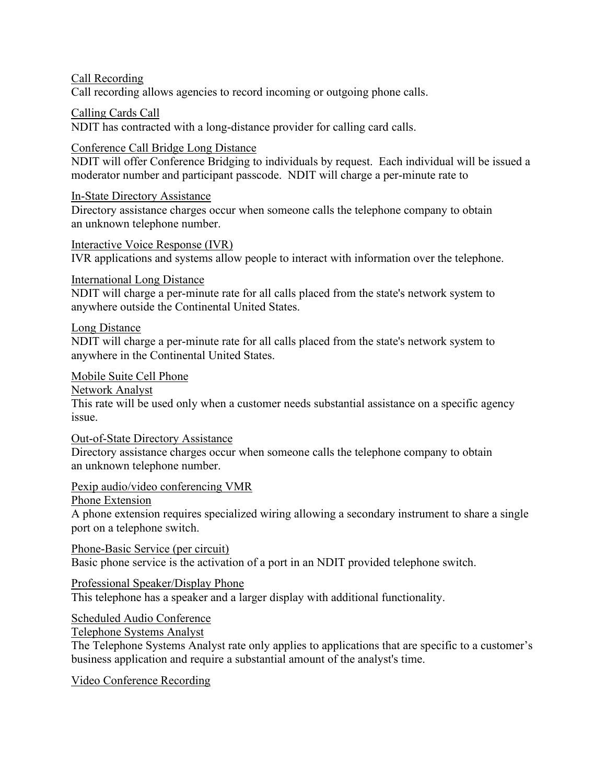Call Recording

Call recording allows agencies to record incoming or outgoing phone calls.

Calling Cards Call

NDIT has contracted with a long-distance provider for calling card calls.

#### Conference Call Bridge Long Distance

NDIT will offer Conference Bridging to individuals by request. Each individual will be issued a moderator number and participant passcode. NDIT will charge a per-minute rate to

#### In-State Directory Assistance

Directory assistance charges occur when someone calls the telephone company to obtain an unknown telephone number.

Interactive Voice Response (IVR) IVR applications and systems allow people to interact with information over the telephone.

#### International Long Distance

NDIT will charge a per-minute rate for all calls placed from the state's network system to anywhere outside the Continental United States.

#### Long Distance

NDIT will charge a per-minute rate for all calls placed from the state's network system to anywhere in the Continental United States.

Mobile Suite Cell Phone

Network Analyst

This rate will be used only when a customer needs substantial assistance on a specific agency issue.

#### Out-of-State Directory Assistance

Directory assistance charges occur when someone calls the telephone company to obtain an unknown telephone number.

# Pexip audio/video conferencing VMR

Phone Extension

A phone extension requires specialized wiring allowing a secondary instrument to share a single port on a telephone switch.

Phone-Basic Service (per circuit) Basic phone service is the activation of a port in an NDIT provided telephone switch.

# Professional Speaker/Display Phone

This telephone has a speaker and a larger display with additional functionality.

Scheduled Audio Conference

Telephone Systems Analyst

The Telephone Systems Analyst rate only applies to applications that are specific to a customer's business application and require a substantial amount of the analyst's time.

Video Conference Recording